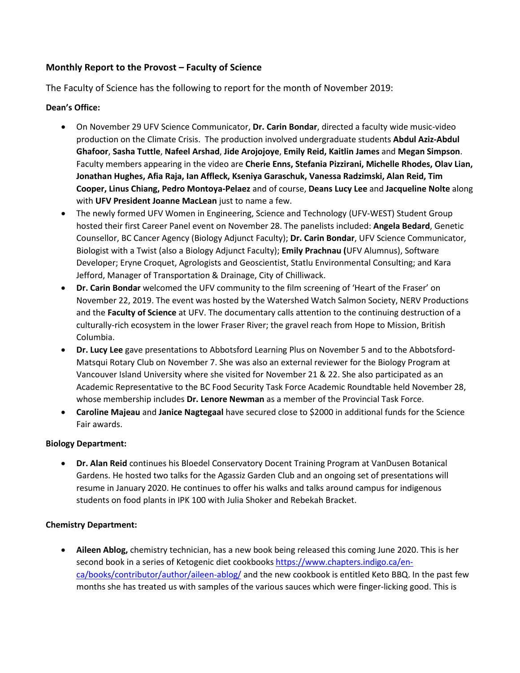# **Monthly Report to the Provost – Faculty of Science**

The Faculty of Science has the following to report for the month of November 2019:

# **Dean's Office:**

- On November 29 UFV Science Communicator, **Dr. Carin Bondar**, directed a faculty wide music-video production on the Climate Crisis. The production involved undergraduate students **Abdul Aziz-Abdul Ghafoor**, **Sasha Tuttle**, **Nafeel Arshad**, **Jide Arojojoye**, **Emily Reid, Kaitlin James** and **Megan Simpson**. Faculty members appearing in the video are **Cherie Enns, Stefania Pizzirani, Michelle Rhodes, Olav Lian, Jonathan Hughes, Afia Raja, Ian Affleck, Kseniya Garaschuk, Vanessa Radzimski, Alan Reid, Tim Cooper, Linus Chiang, Pedro Montoya-Pelaez** and of course, **Deans Lucy Lee** and **Jacqueline Nolte** along with **UFV President Joanne MacLean** just to name a few.
- The newly formed UFV Women in Engineering, Science and Technology (UFV-WEST) Student Group hosted their first Career Panel event on November 28. The panelists included: **Angela Bedard**, Genetic Counsellor, BC Cancer Agency (Biology Adjunct Faculty); **Dr. Carin Bondar**, UFV Science Communicator, Biologist with a Twist (also a Biology Adjunct Faculty); **Emily Prachnau (**UFV Alumnus), Software Developer; Eryne Croquet, Agrologists and Geoscientist, Statlu Environmental Consulting; and Kara Jefford, Manager of Transportation & Drainage, City of Chilliwack.
- **Dr. Carin Bondar** welcomed the UFV community to the film screening of 'Heart of the Fraser' on November 22, 2019. The event was hosted by the Watershed Watch Salmon Society, NERV Productions and the **Faculty of Science** at UFV. The documentary calls attention to the continuing destruction of a culturally-rich ecosystem in the lower Fraser River; the gravel reach from Hope to Mission, British Columbia.
- **Dr. Lucy Lee** gave presentations to Abbotsford Learning Plus on November 5 and to the Abbotsford-Matsqui Rotary Club on November 7. She was also an external reviewer for the Biology Program at Vancouver Island University where she visited for November 21 & 22. She also participated as an Academic Representative to the BC Food Security Task Force Academic Roundtable held November 28, whose membership includes **Dr. Lenore Newman** as a member of the Provincial Task Force.
- **Caroline Majeau** and **Janice Nagtegaal** have secured close to \$2000 in additional funds for the Science Fair awards.

### **Biology Department:**

• **Dr. Alan Reid** continues his Bloedel Conservatory Docent Training Program at VanDusen Botanical Gardens. He hosted two talks for the Agassiz Garden Club and an ongoing set of presentations will resume in January 2020. He continues to offer his walks and talks around campus for indigenous students on food plants in IPK 100 with Julia Shoker and Rebekah Bracket.

### **Chemistry Department:**

• **Aileen Ablog,** chemistry technician, has a new book being released this coming June 2020. This is her second book in a series of Ketogenic diet cookbooks [https://www.chapters.indigo.ca/en](https://www.chapters.indigo.ca/en-ca/books/contributor/author/aileen-ablog/)[ca/books/contributor/author/aileen-ablog/](https://www.chapters.indigo.ca/en-ca/books/contributor/author/aileen-ablog/) and the new cookbook is entitled Keto BBQ. In the past few months she has treated us with samples of the various sauces which were finger-licking good. This is